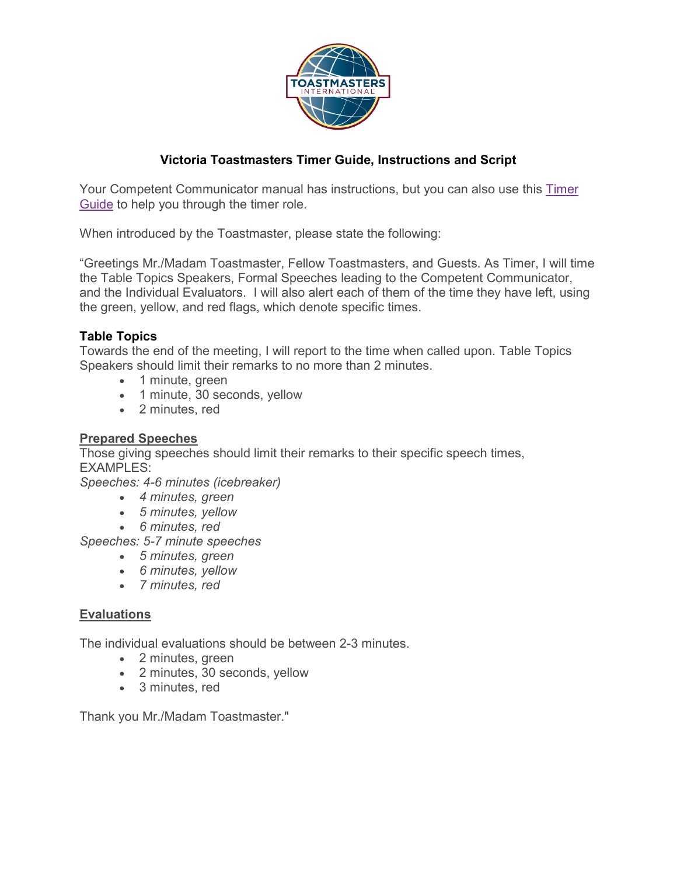

### **Victoria Toastmasters Timer Guide, Instructions and Script**

Your Competent Communicator manual has instructions, but you can also use this [Timer](http://pv174.org/blog/wp-content/uploads/2013/05/Timer-Guide1.pdf)  [Guide](http://pv174.org/blog/wp-content/uploads/2013/05/Timer-Guide1.pdf) to help you through the timer role.

When introduced by the Toastmaster, please state the following:

"Greetings Mr./Madam Toastmaster, Fellow Toastmasters, and Guests. As Timer, I will time the Table Topics Speakers, Formal Speeches leading to the Competent Communicator, and the Individual Evaluators. I will also alert each of them of the time they have left, using the green, yellow, and red flags, which denote specific times.

#### **Table Topics**

Towards the end of the meeting, I will report to the time when called upon. Table Topics Speakers should limit their remarks to no more than 2 minutes.

- 1 minute, green
- 1 minute, 30 seconds, yellow
- 2 minutes, red

#### **Prepared Speeches**

Those giving speeches should limit their remarks to their specific speech times, EXAMPLES:

*Speeches: 4-6 minutes (icebreaker)*

- *4 minutes, green*
- *5 minutes, yellow*
- *6 minutes, red*

*Speeches: 5-7 minute speeches*

- *5 minutes, green*
- *6 minutes, yellow*
- *7 minutes, red*

#### **Evaluations**

The individual evaluations should be between 2-3 minutes.

- 2 minutes, green
- 2 minutes, 30 seconds, yellow
- 3 minutes, red

Thank you Mr./Madam Toastmaster."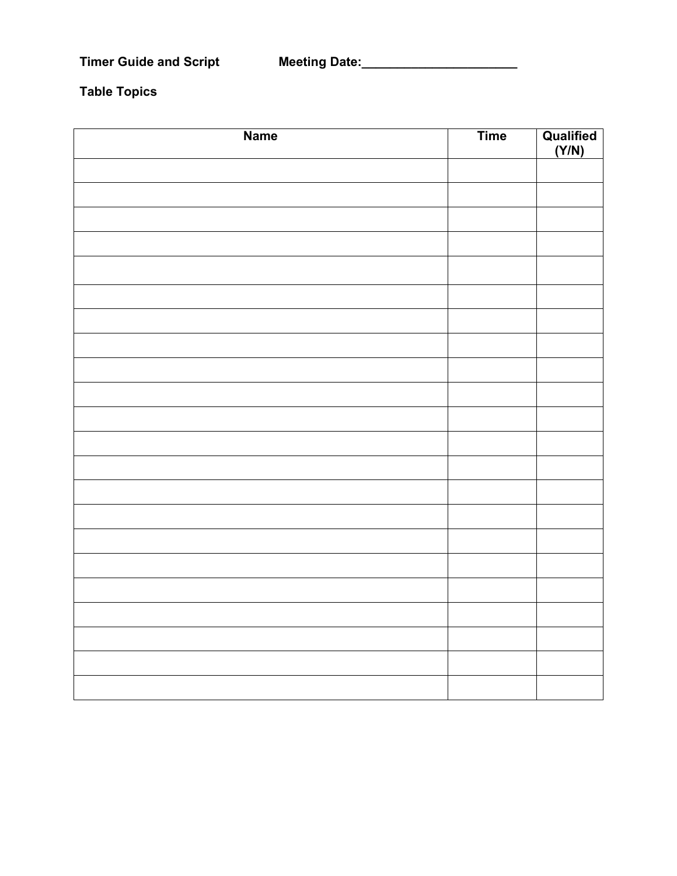# **Table Topics**

| <b>Name</b> | <b>Time</b> | Qualified<br>(Y/N) |
|-------------|-------------|--------------------|
|             |             |                    |
|             |             |                    |
|             |             |                    |
|             |             |                    |
|             |             |                    |
|             |             |                    |
|             |             |                    |
|             |             |                    |
|             |             |                    |
|             |             |                    |
|             |             |                    |
|             |             |                    |
|             |             |                    |
|             |             |                    |
|             |             |                    |
|             |             |                    |
|             |             |                    |
|             |             |                    |
|             |             |                    |